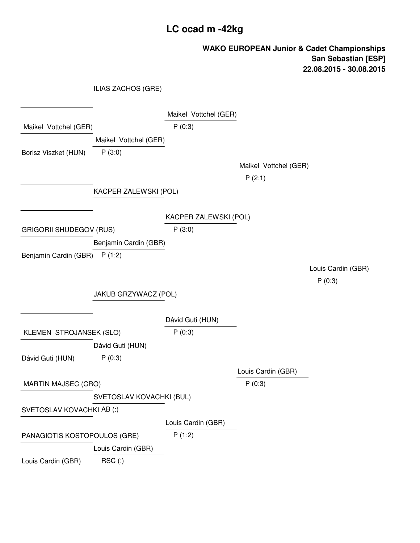## **LC ocad m -42kg**

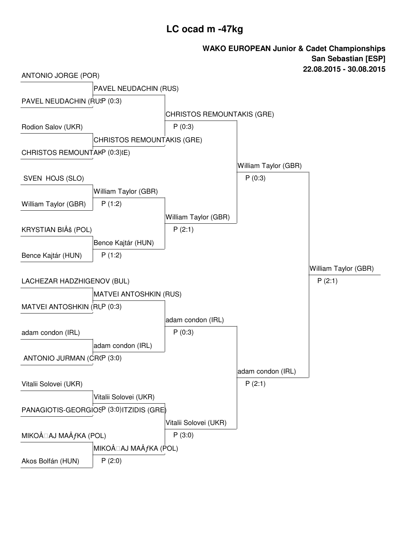## **LC ocad m -47kg**

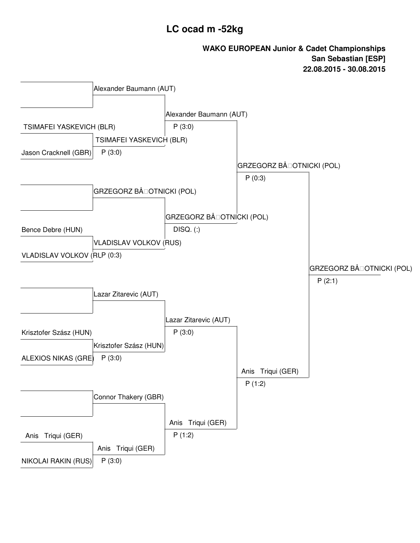# **LC ocad m -52kg**

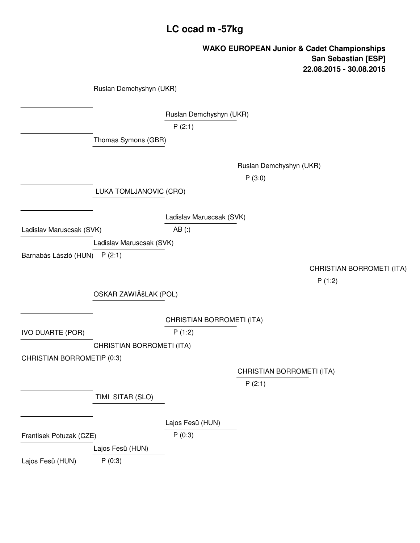# **LC ocad m -57kg**

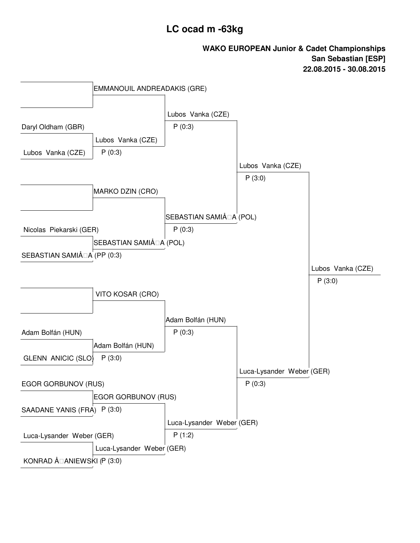# **LC ocad m -63kg**

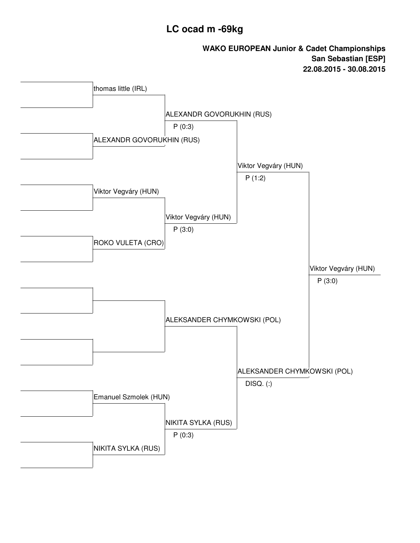# **LC ocad m -69kg**

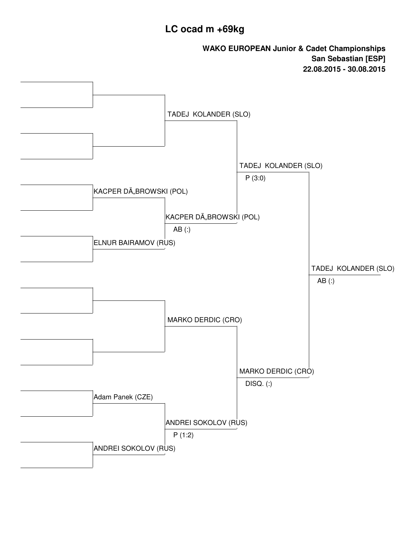## **LC ocad m +69kg**

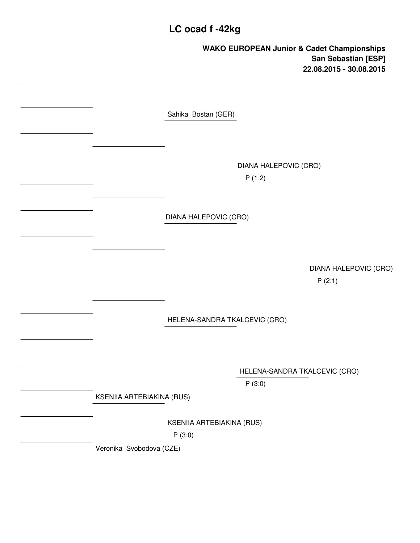#### **LC ocad f -42kg**

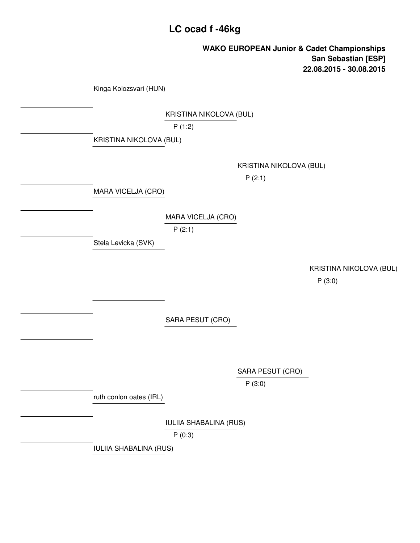# **LC ocad f -46kg**

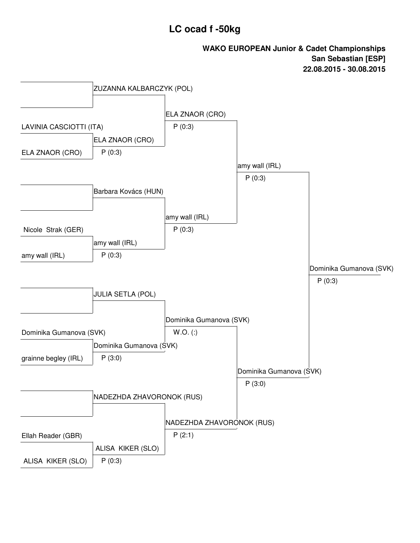# **LC ocad f -50kg**

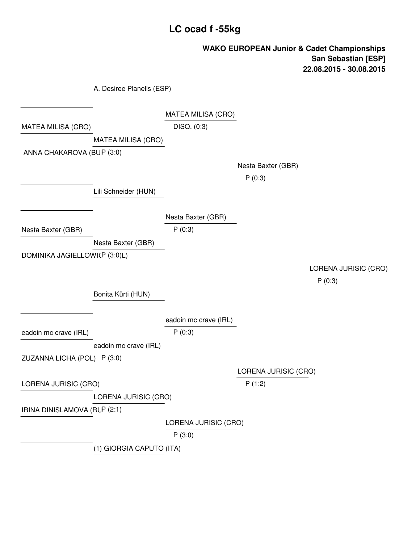# **LC ocad f -55kg**

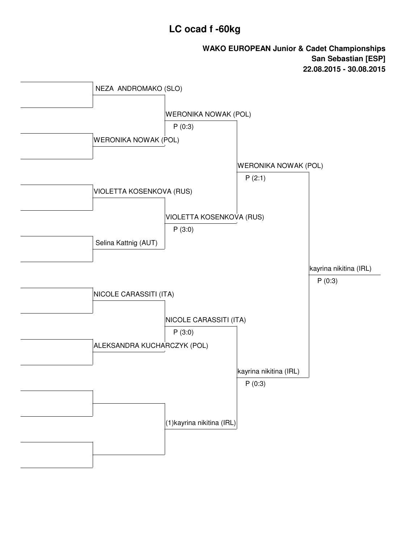### **LC ocad f -60kg**

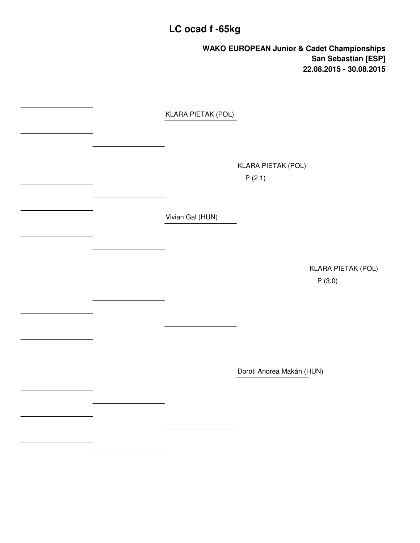# **LC ocad f -65kg**

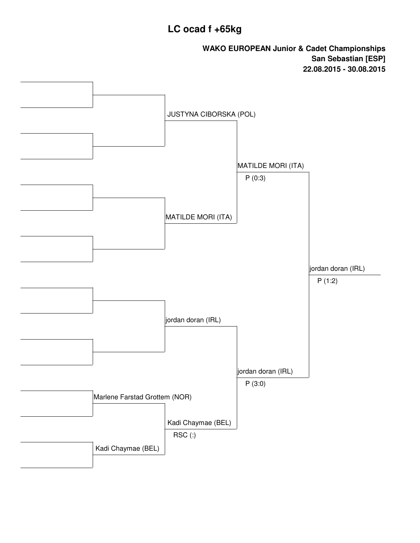# **LC ocad f +65kg**

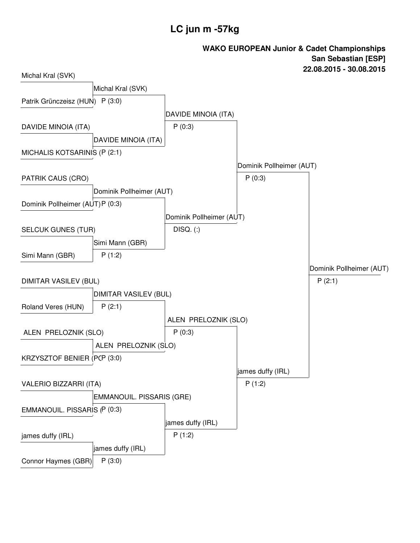# **LC jun m -57kg**

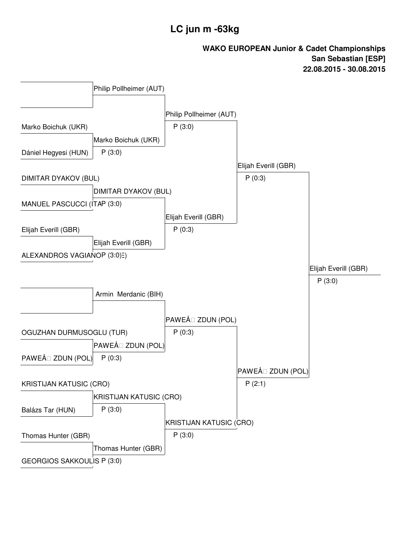# **LC jun m -63kg**

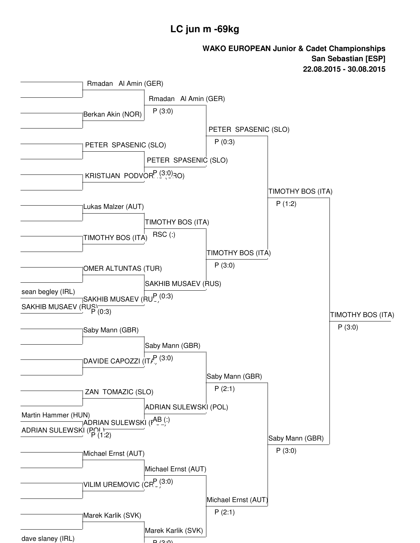#### **LC jun m -69kg**

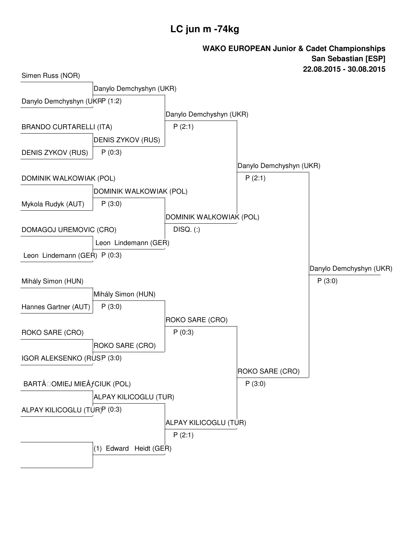# **LC jun m -74kg**

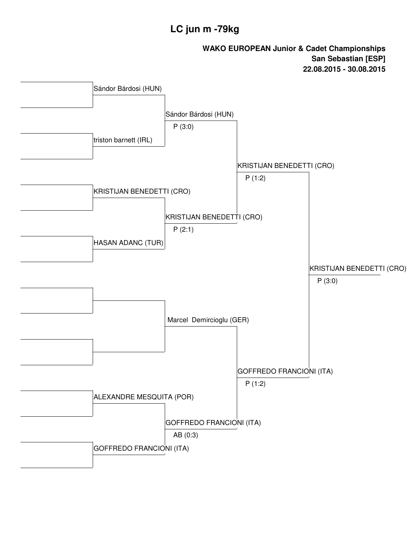# **LC jun m -79kg**

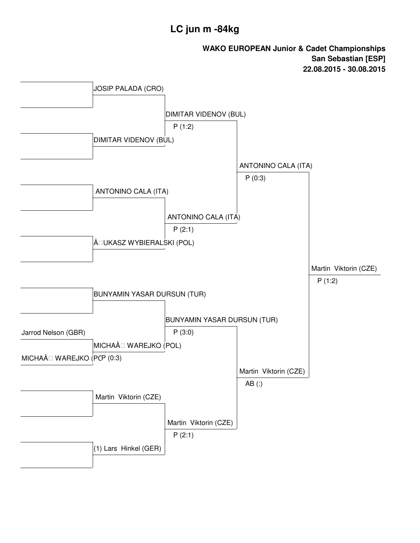## **LC jun m -84kg**

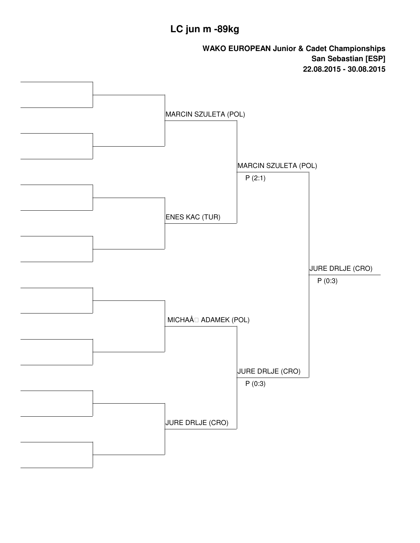# **LC jun m -89kg**

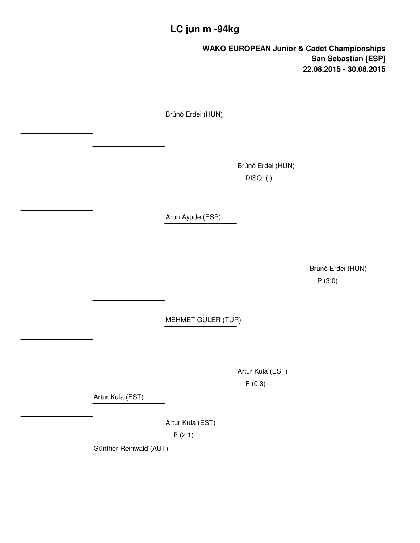# **LC jun m -94kg**

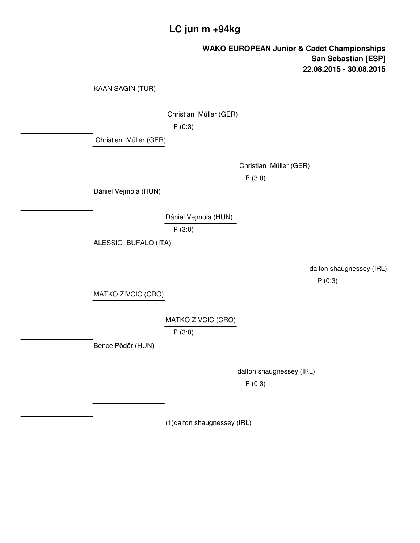# **LC jun m +94kg**

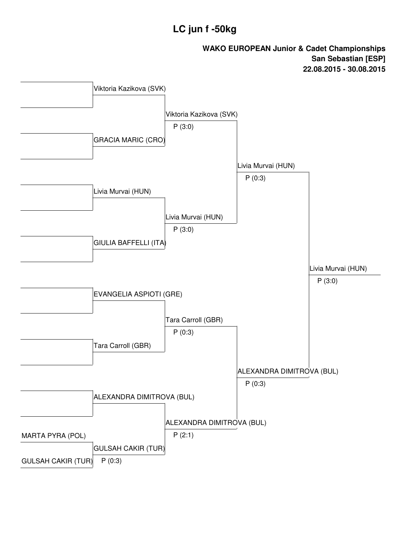# **LC jun f -50kg**

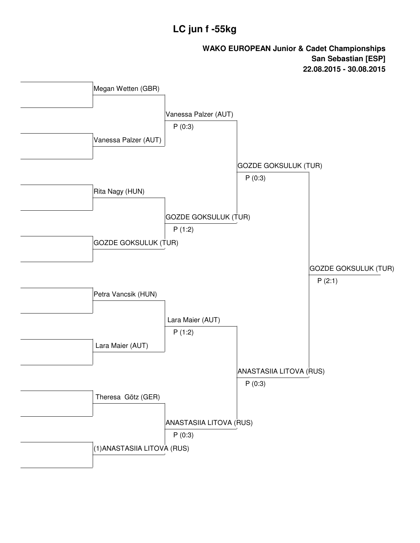# **LC jun f -55kg**

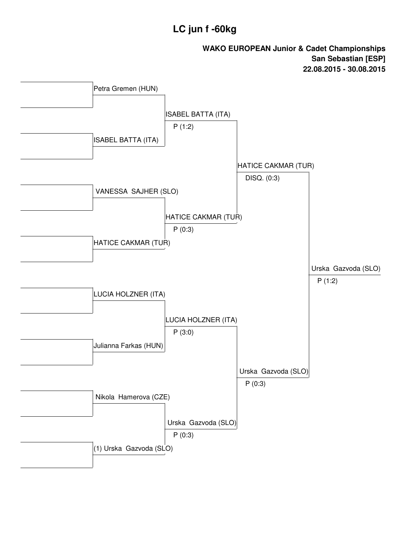# **LC jun f -60kg**

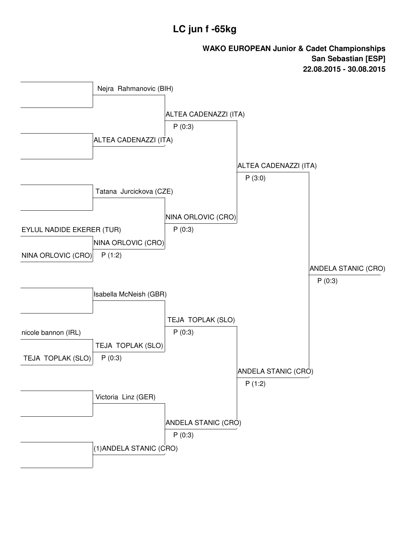# **LC jun f -65kg**

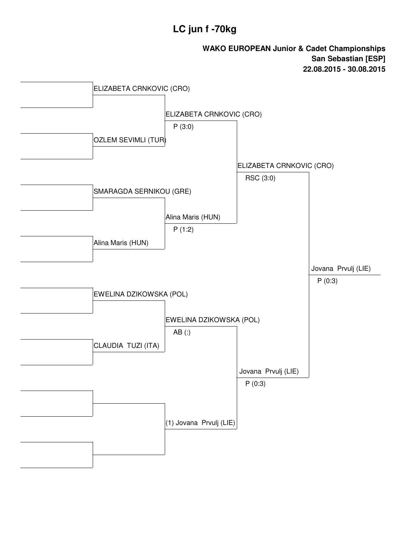# **LC jun f -70kg**